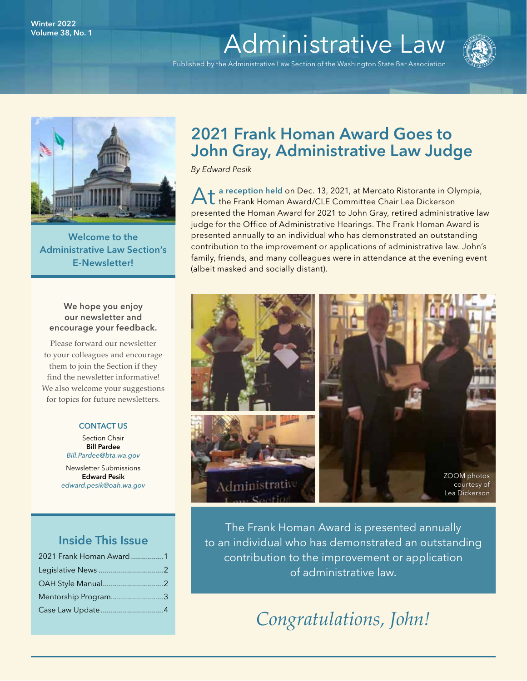# Volume 38, No. 1

Published by the Administrative Law Section of the Washington State Bar Association





Welcome to the Administrative Law Section's E-Newsletter!

#### We hope you enjoy our newsletter and encourage your feedback.

Please forward our newsletter to your colleagues and encourage them to join the Section if they find the newsletter informative! We also welcome your suggestions for topics for future newsletters.

#### CONTACT US

Section Chair Bill Pardee *[Bill.Pardee@bta.wa.gov](mailto:Bill.Pardee%40bta.wa.gov?subject=)*

Newsletter Submissions Edward Pesik *[edward.pesik@oah.wa.gov](mailto:edward.pesik%40oah.wa.gov?subject=)*

### Inside This Issue

| 2021 Frank Homan Award 1 |  |
|--------------------------|--|
|                          |  |
|                          |  |
| Mentorship Program3      |  |
|                          |  |

# 2021 Frank Homan Award Goes to John Gray, Administrative Law Judge

*By Edward Pesik*

1 a reception held on Dec. 13, 2021, at Mercato Ristorante in Olympia, **L** the Frank Homan Award/CLE Committee Chair Lea Dickerson presented the Homan Award for 2021 to John Gray, retired administrative law judge for the Office of Administrative Hearings. The Frank Homan Award is presented annually to an individual who has demonstrated an outstanding contribution to the improvement or applications of administrative law. John's family, friends, and many colleagues were in attendance at the evening event (albeit masked and socially distant).



The Frank Homan Award is presented annually to an individual who has demonstrated an outstanding contribution to the improvement or application of administrative law.

# *Congratulations, John!*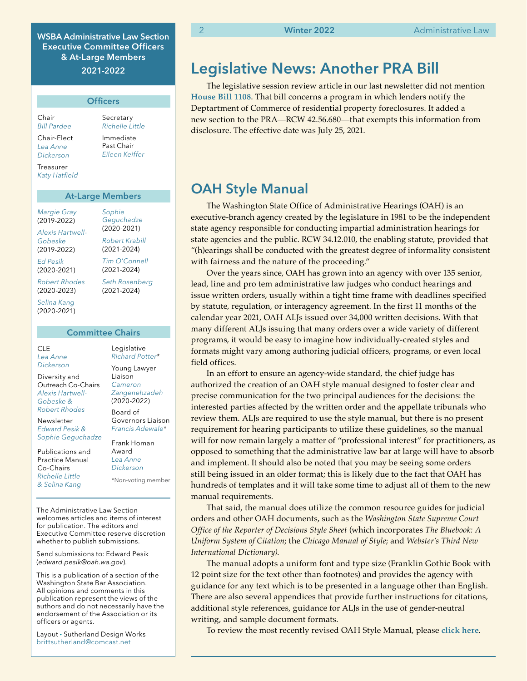WSBA Administrative Law Section Executive Committee Officers & At-Large Members 2021-2022

|                                      | <b>Officers</b>                           |
|--------------------------------------|-------------------------------------------|
| Chair<br><b>Bill Pardee</b>          | Secretary<br>Richelle Little              |
| Chair-Elect<br>Lea Anne<br>Dickerson | Immediate<br>Past Chair<br>Fileen Keiffer |
| Treasurer<br><b>Katy Hatfield</b>    |                                           |

#### At-Large Members

*[Sophie](mailto:sgeguchadze%40gmail.com?subject=)  [Geguchadze](mailto:sgeguchadze%40gmail.com?subject=)*  (2020-2021) *[Robert Krabill](https://www.mywsba.org/PersonifyEbusiness/LegalDirectory/LegalProfile.aspx?Usr_ID=000000031694)*  (2021-2024) *[Tim O'Connell](mailto:tim.oconnell%40stoel.com?subject=)*  (2021-2024) *[Seth Rosenberg](mailto:seth%40seattlelitigation.com?subject=)*  (2021-2024)

*[Margie Gray](https://www.mywsba.org/PersonifyEbusiness/LegalDirectory/LegalProfile.aspx?Usr_ID=9607)* (2019-2022)

*[Alexis Hartwell-](mailto:alexis%40dynamiclawgroup.com?subject=)[Gobeske](mailto:alexis%40dynamiclawgroup.com?subject=)*  (2019-2022)

*[Ed Pesik](mailto:edward.pesik%40oah.wa.gov?subject=)*  (2020-2021)

*[Robert Rhodes](mailto:robert%40rhodeslegalgroup.com?subject=)*  (2020-2023)

*[Selina Kang](mailto:selinapkang%40gmail.com?subject=)*  (2020-2021)

#### Committee Chairs

CLE *[Lea Anne](https://www.mywsba.org/PersonifyEbusiness/LegalDirectory/LegalProfile.aspx?Usr_ID=000000047216)  [Dickerson](https://www.mywsba.org/PersonifyEbusiness/LegalDirectory/LegalProfile.aspx?Usr_ID=000000047216)*

Diversity and Outreach Co-Chairs *[Alexis Hartwell-](https://www.mywsba.org/PersonifyEbusiness/LegalDirectory/LegalProfile.aspx?Usr_ID=000000047222)[Gobeske](https://www.mywsba.org/PersonifyEbusiness/LegalDirectory/LegalProfile.aspx?Usr_ID=000000047222) & [Robert Rhodes](https://www.mywsba.org/PersonifyEbusiness/LegalDirectory/LegalProfile.aspx?Usr_ID=000000031089)*

Newsletter *[Edward Pesik](mailto:edward.pesik%40oah.wa.gov?subject=) & [Sophie Geguchadze](mailto:sgeguchadze%40tlf.law?subject=)*

Publications and Practice Manual Co-Chairs *[Richelle Little](https://www.mywsba.org/PersonifyEbusiness/LegalDirectory/LegalProfile.aspx?Usr_ID=000000039687)  & [Selina Kang](mailto:selinapkang%40gmail.com?subject=)*

*[Richard Potter](https://www.mywsba.org/PersonifyEbusiness/LegalDirectory/LegalProfile.aspx?Usr_ID=19196)\** Young Lawyer Liaison *[Cameron](mailto:zangeneh%40seattleu.edu?subject=)  [Zangenehzadeh](mailto:zangeneh%40seattleu.edu?subject=)*  (2020-2022) Board of Governors Liaison

Legislative

Frank Homan Award *[Lea Anne](https://www.mywsba.org/PersonifyEbusiness/Default.aspx?TabID=1538&Usr_ID=000000047216)  [Dickerson](https://www.mywsba.org/PersonifyEbusiness/Default.aspx?TabID=1538&Usr_ID=000000047216)* \*Non-voting member

*[Francis Adewale\\*](mailto:fadewale%40spokanecity.org?subject=)*

The Administrative Law Section welcomes articles and items of interest for publication. The editors and Executive Committee reserve discretion whether to publish submissions.

Send submissions to: Edward Pesik (*[edward.pesik@oah.wa.gov](mailto:edward.pesik%40oah.wa.gov?subject=)*).

This is a publication of a section of the Washington State Bar Association. All opinions and comments in this publication represent the views of the authors and do not necessarily have the endorsement of the Association or its officers or agents.

Layout • Sutherland Design Works [brittsutherland@comcast.net](mailto:brittsutherland%40comcast.net?subject=WSBA)

2 **Winter 2022** Administrative Law

# Legislative News: Another PRA Bill

The legislative session review article in our last newsletter did not mention **House Bill 1108**. That bill concerns a program in which lenders notify the Deptartment of Commerce of residential property foreclosures. It added a new section to the PRA—RCW 42.56.680—that exempts this information from disclosure. The effective date was July 25, 2021.

## OAH Style Manual

The Washington State Office of Administrative Hearings (OAH) is an executive-branch agency created by the legislature in 1981 to be the independent state agency responsible for conducting impartial administration hearings for state agencies and the public. RCW 34.12.010, the enabling statute, provided that "(h)earings shall be conducted with the greatest degree of informality consistent with fairness and the nature of the proceeding."

Over the years since, OAH has grown into an agency with over 135 senior, lead, line and pro tem administrative law judges who conduct hearings and issue written orders, usually within a tight time frame with deadlines specified by statute, regulation, or interagency agreement. In the first 11 months of the calendar year 2021, OAH ALJs issued over 34,000 written decisions. With that many different ALJs issuing that many orders over a wide variety of different programs, it would be easy to imagine how individually-created styles and formats might vary among authoring judicial officers, programs, or even local field offices.

In an effort to ensure an agency-wide standard, the chief judge has authorized the creation of an OAH style manual designed to foster clear and precise communication for the two principal audiences for the decisions: the interested parties affected by the written order and the appellate tribunals who review them. ALJs are required to use the style manual, but there is no present requirement for hearing participants to utilize these guidelines, so the manual will for now remain largely a matter of "professional interest" for practitioners, as opposed to something that the administrative law bar at large will have to absorb and implement. It should also be noted that you may be seeing some orders still being issued in an older format; this is likely due to the fact that OAH has hundreds of templates and it will take some time to adjust all of them to the new manual requirements.

That said, the manual does utilize the common resource guides for judicial orders and other OAH documents, such as the *Washington State Supreme Court Office of the Reporter of Decisions Style Sheet* (which incorporates *The Bluebook: A Uniform System of Citation*; the *Chicago Manual of Style*; and *Webster's Third New International Dictionary)*.

The manual adopts a uniform font and type size (Franklin Gothic Book with 12 point size for the text other than footnotes) and provides the agency with guidance for any text which is to be presented in a language other than English. There are also several appendices that provide further instructions for citations, additional style references, guidance for ALJs in the use of gender-neutral writing, and sample document formats.

To review the most recently revised OAH Style Manual, please **[click here](https://www.wsba.org/docs/default-source/legal-community/sections/adm/resources/oah-style-manual.pdf?sfvrsn=e00816f1_4)**.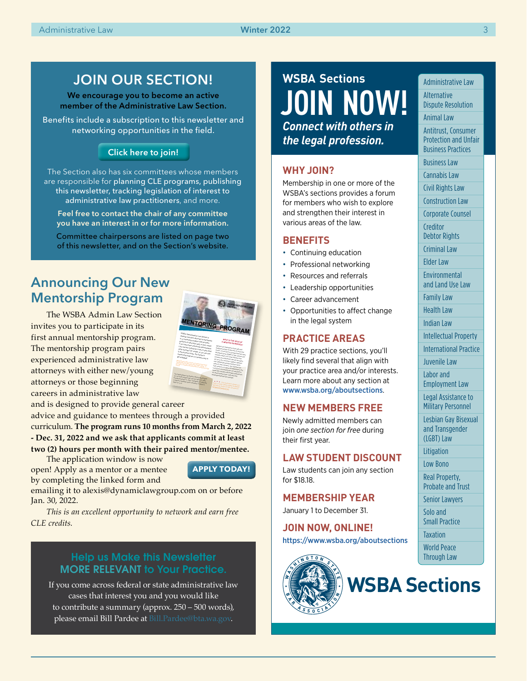### JOIN OUR SECTION!

We encourage you to become an active member of the Administrative Law Section.

Benefits include a subscription to this newsletter and networking opportunities in the field.

#### [Click here to join!](https://www.mywsba.org/PersonifyEbusiness/Default.aspx?TabID=251&productId=1)

The Section also has six committees whose members are responsible for planning CLE programs, publishing this newsletter, tracking legislation of interest to administrative law practitioners, and more.

Feel free to contact the chair of any committee you have an interest in or for more information.

Committee chairpersons are listed on page two of this newsletter, and on the Section's website.

# Announcing Our New Mentorship Program

The WSBA Admin Law Section invites you to participate in its first annual mentorship program. The mentorship program pairs experienced administrative law attorneys with either new/young attorneys or those beginning careers in administrative law

and is designed to provide general career

advice and guidance to mentees through a provided curriculum. **The program runs 10 months from March 2, 2022 - Dec. 31, 2022 and we ask that applicants commit at least two (2) hours per month with their paired mentor/mentee.** 

The application window is now open! Apply as a mentor or a mentee

by completing the linked form and



**MENTORING** 

the Section's program is a positive way to get engaged *Mentoring provides <sup>a</sup> source of support and career development for attorneys early in their career. It provides a valuable skill base that is not learned in law*  The Administrative Law Section's Mentorship Program<br>9-4-33 January <sub>Pr</sub>ogram Dat Juny 1<br><sup>Section</sup> Control is a 10-month program that runs from March 2, 2022<br>Program Canterpoor and Art and Kom March 2, 2022<br>Fallent Armstrom 31, 2022, 2023 through December 31, 2022. Candidates are expected<br>In alleged a manufacturer 31, 2022. Candidates are expected<br>ST2, 12,1 am to attend a mandatory Zitues of entitledes and March 2, 200<br>2002, 12:1 p.m. <sup>2022</sup>,12-1 <sup>p</sup>.m.

WSBA Administrative Law Section is<br>Feesing volunteer <sub>mess</sub> Seeking volunteer attorneys to participate<br>n a nientorahip processi en on participate in a mentorship program that provides **Guidance to attorneys early in their career.**<br>If you have been praces: early in their career. If you have been practicing Administrative<br>Isle and are bolking for Administrative Law and are looking for a Watsonstance<br><sup>Milla</sup> easting Collang for a Way to give back while earning CLE credits, or you are new<br>to the practice or less sec you are new<br>limits to the practice of law<br>Times mentorship

**WHAT IS THE ROL <sup>A</sup> MENTOR OR MENTEE? E OF**  Mentors are expected to meet with their<br>Roodsend mentors at wa assigned mentee at least two (2) hours per month. A curriculum is provided that has been<br>Municipal by the sydney is provided that has been<br>Midline developed by the WSBA mentees obtain

*If you would like to volunteer as <sup>a</sup>*

**ROGRAM** 

to help mentors and CLE credit addresses mentees are expected to discuss the topics<br>Inf out in the clusic<sub>h</sub>ts set out in the curriculum may additionally provide together. Mentors practical career to their mentees, and mentees can<br>hilling on their, and mentees can Seek guidance on topics not admitted can<br>Includes the excepts not addressed in the churiculum, but mentors are not expected to a<br>Maint Mexi mentors are not expected to assist their mentees win finding employment<br>Wir schall mentees with finding employment<br>richtiment, nor shall mentenes seek help with they<br>wiveland.com/with their with they workload/caseload from mentors.

emailing it to alexis@dynamiclawgroup.com on or before Jan. 30, 2022.

*This is an excellent opportunity to network and earn free CLE credits.*

#### Help us Make this Newsletter MORE RELEVANT to Your Practice.

If you come across federal or state administrative law cases that interest you and you would like to contribute a summary (approx. 250 – 500 words), please email Bill Pardee at [Bill.Pardee@bta.wa.gov](mailto:Bill.Pardee%40bta.wa.gov?subject=).

# *Connect with others in the legal profession.* **WSBA Sections [JOIN NOW!](https://www.mywsba.org/PersonifyEbusiness/Default.aspx?TabID=251&productId=1)**

#### **WHY JOIN?**

Membership in one or more of the WSBA's sections provides a forum for members who wish to explore and strengthen their interest in various areas of the law.

#### **BENEFITS**

- Continuing education
- Professional networking
- Resources and referrals
- Leadership opportunities
- Career advancement
- Opportunities to affect change in the legal system

#### **PRACTICE AREAS**

With 29 practice sections, you'll likely find several that align with your practice area and/or interests. Learn more about any section at www.wsba.org/aboutsections.

#### **NEW MEMBERS FREE**

Newly admitted members can join *one section for free* during their first year.

#### **LAW STUDENT DISCOUNT**

Law students can join any section for \$18.18.

#### **MEMBERSHIP YEAR**

January 1 to December 31.

**JOIN NOW, ONLINE!**  https://www.wsba.org/aboutsections



Administrative Law

Senior Lawyers Solo and Small Practice **Taxation** 

World Peace Through Law